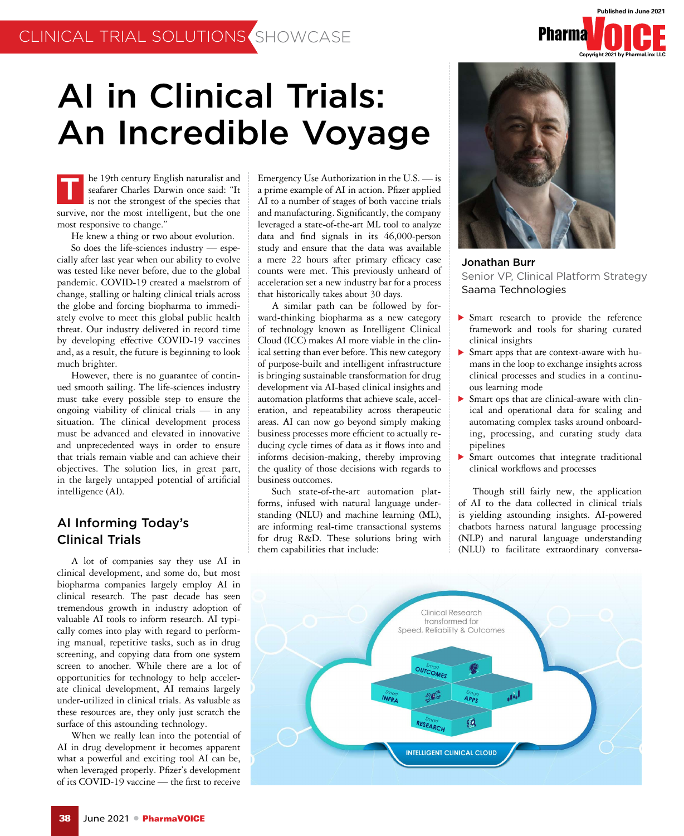# AI in Clinical Trials: An Incredible Voyage

he 19th century English naturalist and seafarer Charles Darwin once said: "It is not the strongest of the species that survive, nor the most intelligent, but the one most responsive to change." T

He knew a thing or two about evolution. So does the life-sciences industry — especially after last year when our ability to evolve was tested like never before, due to the global pandemic. COVID-19 created a maelstrom of change, stalling or halting clinical trials across the globe and forcing biopharma to immediately evolve to meet this global public health threat. Our industry delivered in record time by developing effective COVID-19 vaccines and, as a result, the future is beginning to look much brighter.

However, there is no guarantee of continued smooth sailing. The life-sciences industry must take every possible step to ensure the ongoing viability of clinical trials — in any situation. The clinical development process must be advanced and elevated in innovative and unprecedented ways in order to ensure that trials remain viable and can achieve their objectives. The solution lies, in great part, in the largely untapped potential of artificial intelligence (AI).

### AI Informing Today's Clinical Trials

A lot of companies say they use AI in clinical development, and some do, but most biopharma companies largely employ AI in clinical research. The past decade has seen tremendous growth in industry adoption of valuable AI tools to inform research. AI typically comes into play with regard to performing manual, repetitive tasks, such as in drug screening, and copying data from one system screen to another. While there are a lot of opportunities for technology to help accelerate clinical development, AI remains largely under-utilized in clinical trials. As valuable as these resources are, they only just scratch the surface of this astounding technology.

When we really lean into the potential of AI in drug development it becomes apparent what a powerful and exciting tool AI can be, when leveraged properly. Pfizer's development of its COVID-19 vaccine — the first to receive

Emergency Use Authorization in the U.S. — is a prime example of AI in action. Pfizer applied AI to a number of stages of both vaccine trials and manufacturing. Significantly, the company leveraged a state-of-the-art ML tool to analyze data and find signals in its 46,000-person study and ensure that the data was available a mere 22 hours after primary efficacy case counts were met. This previously unheard of acceleration set a new industry bar for a process that historically takes about 30 days.

A similar path can be followed by forward-thinking biopharma as a new category of technology known as Intelligent Clinical Cloud (ICC) makes AI more viable in the clinical setting than ever before. This new category of purpose-built and intelligent infrastructure is bringing sustainable transformation for drug development via AI-based clinical insights and automation platforms that achieve scale, acceleration, and repeatability across therapeutic areas. AI can now go beyond simply making business processes more efficient to actually reducing cycle times of data as it flows into and informs decision-making, thereby improving the quality of those decisions with regards to business outcomes.

Such state-of-the-art automation platforms, infused with natural language understanding (NLU) and machine learning (ML), are informing real-time transactional systems for drug R&D. These solutions bring with them capabilities that include:



**Pharma** 

**Published in June 2021**

Jonathan Burr Senior VP, Clinical Platform Strategy Saama Technologies

- Smart research to provide the reference framework and tools for sharing curated clinical insights
- Smart apps that are context-aware with humans in the loop to exchange insights across clinical processes and studies in a continuous learning mode
- Smart ops that are clinical-aware with clinical and operational data for scaling and automating complex tasks around onboarding, processing, and curating study data pipelines
- Smart outcomes that integrate traditional clinical workflows and processes

Though still fairly new, the application of AI to the data collected in clinical trials is yielding astounding insights. AI-powered chatbots harness natural language processing (NLP) and natural language understanding (NLU) to facilitate extraordinary conversa-